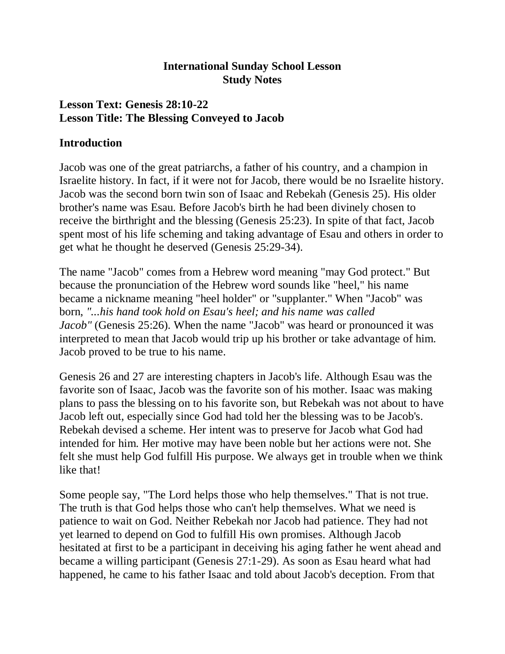#### **International Sunday School Lesson Study Notes**

#### **Lesson Text: Genesis 28:10-22 Lesson Title: The Blessing Conveyed to Jacob**

#### **Introduction**

Jacob was one of the great patriarchs, a father of his country, and a champion in Israelite history. In fact, if it were not for Jacob, there would be no Israelite history. Jacob was the second born twin son of Isaac and Rebekah (Genesis 25). His older brother's name was Esau. Before Jacob's birth he had been divinely chosen to receive the birthright and the blessing (Genesis 25:23). In spite of that fact, Jacob spent most of his life scheming and taking advantage of Esau and others in order to get what he thought he deserved (Genesis 25:29-34).

The name "Jacob" comes from a Hebrew word meaning "may God protect." But because the pronunciation of the Hebrew word sounds like "heel," his name became a nickname meaning "heel holder" or "supplanter." When "Jacob" was born, *"...his hand took hold on Esau's heel; and his name was called Jacob"* (Genesis 25:26). When the name "Jacob" was heard or pronounced it was interpreted to mean that Jacob would trip up his brother or take advantage of him. Jacob proved to be true to his name.

Genesis 26 and 27 are interesting chapters in Jacob's life. Although Esau was the favorite son of Isaac, Jacob was the favorite son of his mother. Isaac was making plans to pass the blessing on to his favorite son, but Rebekah was not about to have Jacob left out, especially since God had told her the blessing was to be Jacob's. Rebekah devised a scheme. Her intent was to preserve for Jacob what God had intended for him. Her motive may have been noble but her actions were not. She felt she must help God fulfill His purpose. We always get in trouble when we think like that!

Some people say, "The Lord helps those who help themselves." That is not true. The truth is that God helps those who can't help themselves. What we need is patience to wait on God. Neither Rebekah nor Jacob had patience. They had not yet learned to depend on God to fulfill His own promises. Although Jacob hesitated at first to be a participant in deceiving his aging father he went ahead and became a willing participant (Genesis 27:1-29). As soon as Esau heard what had happened, he came to his father Isaac and told about Jacob's deception. From that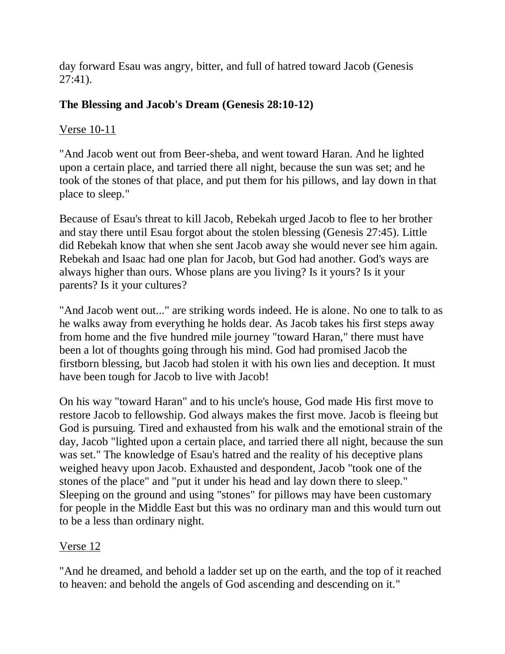day forward Esau was angry, bitter, and full of hatred toward Jacob (Genesis 27:41).

## **The Blessing and Jacob's Dream (Genesis 28:10-12)**

### Verse 10-11

"And Jacob went out from Beer-sheba, and went toward Haran. And he lighted upon a certain place, and tarried there all night, because the sun was set; and he took of the stones of that place, and put them for his pillows, and lay down in that place to sleep."

Because of Esau's threat to kill Jacob, Rebekah urged Jacob to flee to her brother and stay there until Esau forgot about the stolen blessing (Genesis 27:45). Little did Rebekah know that when she sent Jacob away she would never see him again. Rebekah and Isaac had one plan for Jacob, but God had another. God's ways are always higher than ours. Whose plans are you living? Is it yours? Is it your parents? Is it your cultures?

"And Jacob went out..." are striking words indeed. He is alone. No one to talk to as he walks away from everything he holds dear. As Jacob takes his first steps away from home and the five hundred mile journey "toward Haran," there must have been a lot of thoughts going through his mind. God had promised Jacob the firstborn blessing, but Jacob had stolen it with his own lies and deception. It must have been tough for Jacob to live with Jacob!

On his way "toward Haran" and to his uncle's house, God made His first move to restore Jacob to fellowship. God always makes the first move. Jacob is fleeing but God is pursuing. Tired and exhausted from his walk and the emotional strain of the day, Jacob "lighted upon a certain place, and tarried there all night, because the sun was set." The knowledge of Esau's hatred and the reality of his deceptive plans weighed heavy upon Jacob. Exhausted and despondent, Jacob "took one of the stones of the place" and "put it under his head and lay down there to sleep." Sleeping on the ground and using "stones" for pillows may have been customary for people in the Middle East but this was no ordinary man and this would turn out to be a less than ordinary night.

### Verse 12

"And he dreamed, and behold a ladder set up on the earth, and the top of it reached to heaven: and behold the angels of God ascending and descending on it."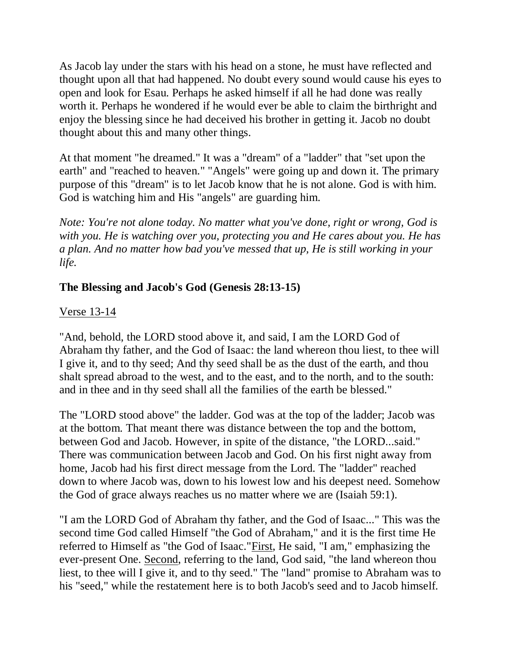As Jacob lay under the stars with his head on a stone, he must have reflected and thought upon all that had happened. No doubt every sound would cause his eyes to open and look for Esau. Perhaps he asked himself if all he had done was really worth it. Perhaps he wondered if he would ever be able to claim the birthright and enjoy the blessing since he had deceived his brother in getting it. Jacob no doubt thought about this and many other things.

At that moment "he dreamed." It was a "dream" of a "ladder" that "set upon the earth" and "reached to heaven." "Angels" were going up and down it. The primary purpose of this "dream" is to let Jacob know that he is not alone. God is with him. God is watching him and His "angels" are guarding him.

*Note: You're not alone today. No matter what you've done, right or wrong, God is with you. He is watching over you, protecting you and He cares about you. He has a plan. And no matter how bad you've messed that up, He is still working in your life.*

# **The Blessing and Jacob's God (Genesis 28:13-15)**

#### Verse 13-14

"And, behold, the LORD stood above it, and said, I am the LORD God of Abraham thy father, and the God of Isaac: the land whereon thou liest, to thee will I give it, and to thy seed; And thy seed shall be as the dust of the earth, and thou shalt spread abroad to the west, and to the east, and to the north, and to the south: and in thee and in thy seed shall all the families of the earth be blessed."

The "LORD stood above" the ladder. God was at the top of the ladder; Jacob was at the bottom. That meant there was distance between the top and the bottom, between God and Jacob. However, in spite of the distance, "the LORD...said." There was communication between Jacob and God. On his first night away from home, Jacob had his first direct message from the Lord. The "ladder" reached down to where Jacob was, down to his lowest low and his deepest need. Somehow the God of grace always reaches us no matter where we are (Isaiah 59:1).

"I am the LORD God of Abraham thy father, and the God of Isaac..." This was the second time God called Himself "the God of Abraham," and it is the first time He referred to Himself as "the God of Isaac."First, He said, "I am," emphasizing the ever-present One. Second, referring to the land, God said, "the land whereon thou liest, to thee will I give it, and to thy seed." The "land" promise to Abraham was to his "seed," while the restatement here is to both Jacob's seed and to Jacob himself.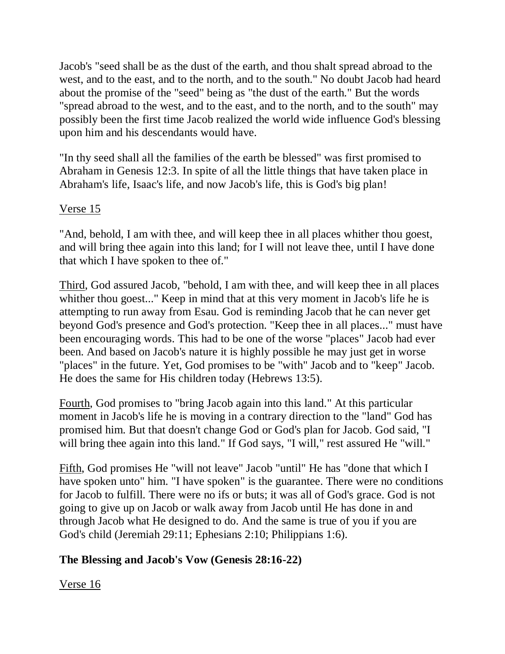Jacob's "seed shall be as the dust of the earth, and thou shalt spread abroad to the west, and to the east, and to the north, and to the south." No doubt Jacob had heard about the promise of the "seed" being as "the dust of the earth." But the words "spread abroad to the west, and to the east, and to the north, and to the south" may possibly been the first time Jacob realized the world wide influence God's blessing upon him and his descendants would have.

"In thy seed shall all the families of the earth be blessed" was first promised to Abraham in Genesis 12:3. In spite of all the little things that have taken place in Abraham's life, Isaac's life, and now Jacob's life, this is God's big plan!

#### Verse 15

"And, behold, I am with thee, and will keep thee in all places whither thou goest, and will bring thee again into this land; for I will not leave thee, until I have done that which I have spoken to thee of."

Third, God assured Jacob, "behold, I am with thee, and will keep thee in all places whither thou goest..." Keep in mind that at this very moment in Jacob's life he is attempting to run away from Esau. God is reminding Jacob that he can never get beyond God's presence and God's protection. "Keep thee in all places..." must have been encouraging words. This had to be one of the worse "places" Jacob had ever been. And based on Jacob's nature it is highly possible he may just get in worse "places" in the future. Yet, God promises to be "with" Jacob and to "keep" Jacob. He does the same for His children today (Hebrews 13:5).

Fourth, God promises to "bring Jacob again into this land." At this particular moment in Jacob's life he is moving in a contrary direction to the "land" God has promised him. But that doesn't change God or God's plan for Jacob. God said, "I will bring thee again into this land." If God says, "I will," rest assured He "will."

Fifth, God promises He "will not leave" Jacob "until" He has "done that which I have spoken unto" him. "I have spoken" is the guarantee. There were no conditions for Jacob to fulfill. There were no ifs or buts; it was all of God's grace. God is not going to give up on Jacob or walk away from Jacob until He has done in and through Jacob what He designed to do. And the same is true of you if you are God's child (Jeremiah 29:11; Ephesians 2:10; Philippians 1:6).

### **The Blessing and Jacob's Vow (Genesis 28:16-22)**

Verse 16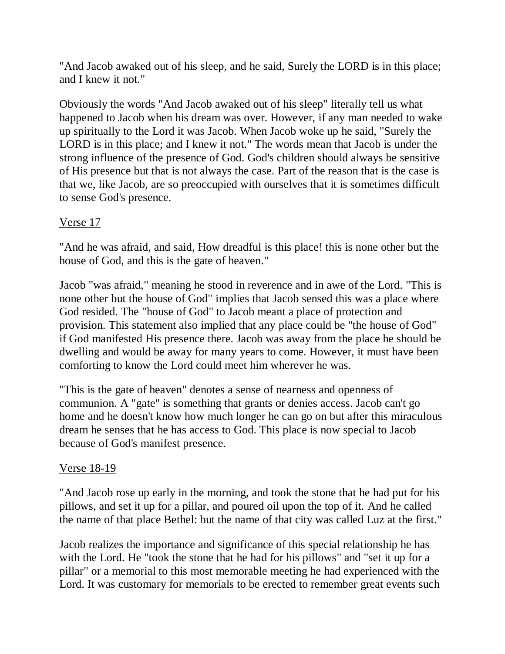"And Jacob awaked out of his sleep, and he said, Surely the LORD is in this place; and I knew it not."

Obviously the words "And Jacob awaked out of his sleep" literally tell us what happened to Jacob when his dream was over. However, if any man needed to wake up spiritually to the Lord it was Jacob. When Jacob woke up he said, "Surely the LORD is in this place; and I knew it not." The words mean that Jacob is under the strong influence of the presence of God. God's children should always be sensitive of His presence but that is not always the case. Part of the reason that is the case is that we, like Jacob, are so preoccupied with ourselves that it is sometimes difficult to sense God's presence.

# Verse 17

"And he was afraid, and said, How dreadful is this place! this is none other but the house of God, and this is the gate of heaven."

Jacob "was afraid," meaning he stood in reverence and in awe of the Lord. "This is none other but the house of God" implies that Jacob sensed this was a place where God resided. The "house of God" to Jacob meant a place of protection and provision. This statement also implied that any place could be "the house of God" if God manifested His presence there. Jacob was away from the place he should be dwelling and would be away for many years to come. However, it must have been comforting to know the Lord could meet him wherever he was.

"This is the gate of heaven" denotes a sense of nearness and openness of communion. A "gate" is something that grants or denies access. Jacob can't go home and he doesn't know how much longer he can go on but after this miraculous dream he senses that he has access to God. This place is now special to Jacob because of God's manifest presence.

### Verse 18-19

"And Jacob rose up early in the morning, and took the stone that he had put for his pillows, and set it up for a pillar, and poured oil upon the top of it. And he called the name of that place Bethel: but the name of that city was called Luz at the first."

Jacob realizes the importance and significance of this special relationship he has with the Lord. He "took the stone that he had for his pillows" and "set it up for a pillar" or a memorial to this most memorable meeting he had experienced with the Lord. It was customary for memorials to be erected to remember great events such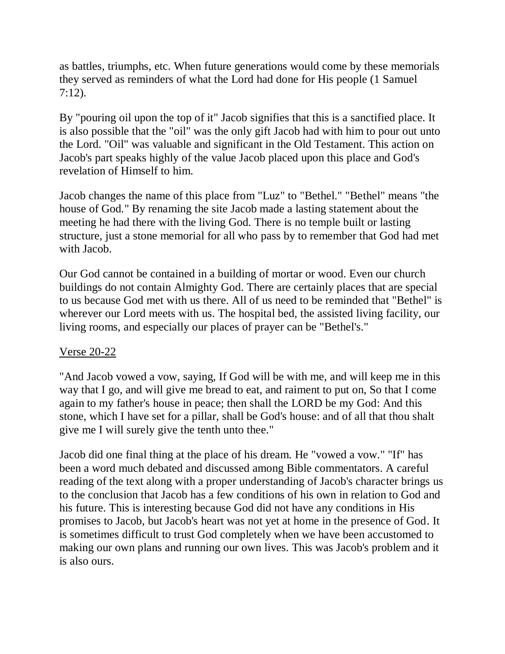as battles, triumphs, etc. When future generations would come by these memorials they served as reminders of what the Lord had done for His people (1 Samuel 7:12).

By "pouring oil upon the top of it" Jacob signifies that this is a sanctified place. It is also possible that the "oil" was the only gift Jacob had with him to pour out unto the Lord. "Oil" was valuable and significant in the Old Testament. This action on Jacob's part speaks highly of the value Jacob placed upon this place and God's revelation of Himself to him.

Jacob changes the name of this place from "Luz" to "Bethel." "Bethel" means "the house of God." By renaming the site Jacob made a lasting statement about the meeting he had there with the living God. There is no temple built or lasting structure, just a stone memorial for all who pass by to remember that God had met with Jacob.

Our God cannot be contained in a building of mortar or wood. Even our church buildings do not contain Almighty God. There are certainly places that are special to us because God met with us there. All of us need to be reminded that "Bethel" is wherever our Lord meets with us. The hospital bed, the assisted living facility, our living rooms, and especially our places of prayer can be "Bethel's."

### Verse 20-22

"And Jacob vowed a vow, saying, If God will be with me, and will keep me in this way that I go, and will give me bread to eat, and raiment to put on, So that I come again to my father's house in peace; then shall the LORD be my God: And this stone, which I have set for a pillar, shall be God's house: and of all that thou shalt give me I will surely give the tenth unto thee."

Jacob did one final thing at the place of his dream. He "vowed a vow." "If" has been a word much debated and discussed among Bible commentators. A careful reading of the text along with a proper understanding of Jacob's character brings us to the conclusion that Jacob has a few conditions of his own in relation to God and his future. This is interesting because God did not have any conditions in His promises to Jacob, but Jacob's heart was not yet at home in the presence of God. It is sometimes difficult to trust God completely when we have been accustomed to making our own plans and running our own lives. This was Jacob's problem and it is also ours.